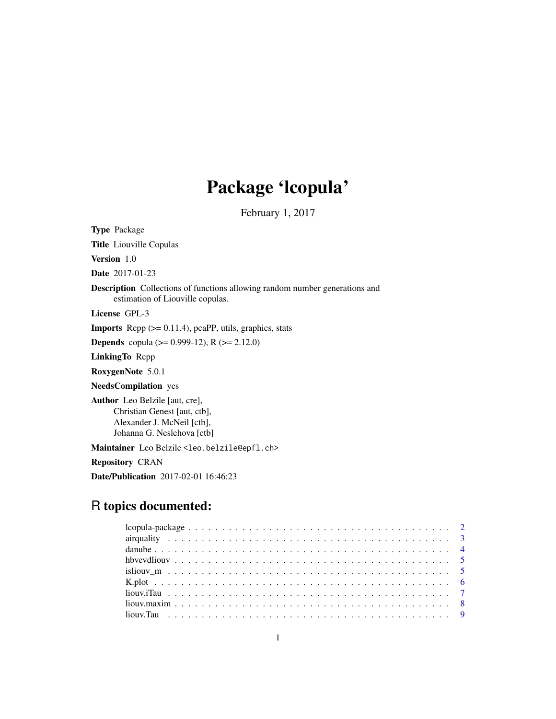## Package 'lcopula'

February 1, 2017

<span id="page-0-0"></span>Type Package

Title Liouville Copulas

Version 1.0

Date 2017-01-23

Description Collections of functions allowing random number generations and estimation of Liouville copulas.

License GPL-3

**Imports** Rcpp  $(>= 0.11.4)$ , pcaPP, utils, graphics, stats

**Depends** copula ( $>= 0.999-12$ ), R ( $>= 2.12.0$ )

LinkingTo Rcpp

RoxygenNote 5.0.1

NeedsCompilation yes

Author Leo Belzile [aut, cre], Christian Genest [aut, ctb], Alexander J. McNeil [ctb], Johanna G. Neslehova [ctb]

Maintainer Leo Belzile <leo.belzile@epfl.ch>

Repository CRAN

Date/Publication 2017-02-01 16:46:23

## R topics documented: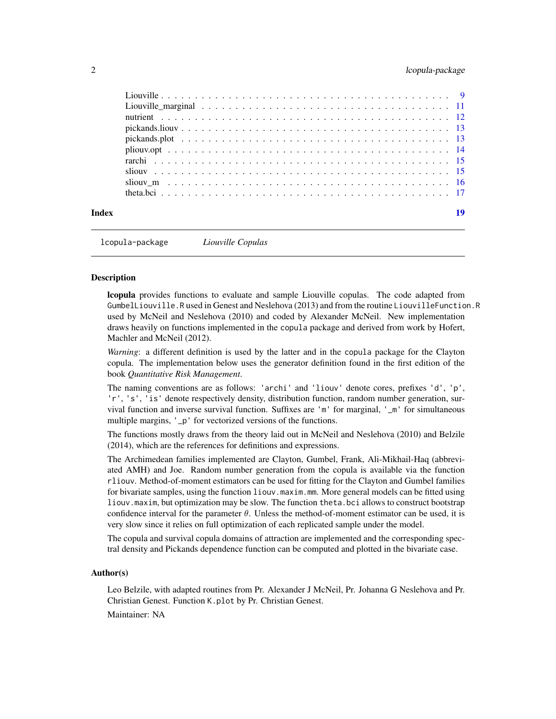#### <span id="page-1-0"></span>2 lcopula-package 2 lcopula-package 2 lcopula-package 2 lcopula-package 2 lcopula-package 2 lcopula-package 2 lcopula-package 2 lcopula-package 2 lcopula-package 2 lcopula-package 2 lcopula-package 2 lcopula-package 2 lcop

| Index |  |
|-------|--|
|       |  |
|       |  |
|       |  |
|       |  |
|       |  |
|       |  |
|       |  |
|       |  |
|       |  |
|       |  |

lcopula-package *Liouville Copulas*

#### **Description**

lcopula provides functions to evaluate and sample Liouville copulas. The code adapted from GumbelLiouville.R used in Genest and Neslehova (2013) and from the routine LiouvilleFunction.R used by McNeil and Neslehova (2010) and coded by Alexander McNeil. New implementation draws heavily on functions implemented in the copula package and derived from work by Hofert, Machler and McNeil (2012).

*Warning*: a different definition is used by the latter and in the copula package for the Clayton copula. The implementation below uses the generator definition found in the first edition of the book *Quantitative Risk Management*.

The naming conventions are as follows: 'archi' and 'liouv' denote cores, prefixes 'd', 'p', 'r', 's', 'is' denote respectively density, distribution function, random number generation, survival function and inverse survival function. Suffixes are 'm' for marginal, '\_m' for simultaneous multiple margins, '\_p' for vectorized versions of the functions.

The functions mostly draws from the theory laid out in McNeil and Neslehova (2010) and Belzile (2014), which are the references for definitions and expressions.

The Archimedean families implemented are Clayton, Gumbel, Frank, Ali-Mikhail-Haq (abbreviated AMH) and Joe. Random number generation from the copula is available via the function rliouv. Method-of-moment estimators can be used for fitting for the Clayton and Gumbel families for bivariate samples, using the function liouv.maxim.mm. More general models can be fitted using liouv.maxim, but optimization may be slow. The function theta.bci allows to construct bootstrap confidence interval for the parameter  $\theta$ . Unless the method-of-moment estimator can be used, it is very slow since it relies on full optimization of each replicated sample under the model.

The copula and survival copula domains of attraction are implemented and the corresponding spectral density and Pickands dependence function can be computed and plotted in the bivariate case.

#### Author(s)

Leo Belzile, with adapted routines from Pr. Alexander J McNeil, Pr. Johanna G Neslehova and Pr. Christian Genest. Function K.plot by Pr. Christian Genest.

Maintainer: NA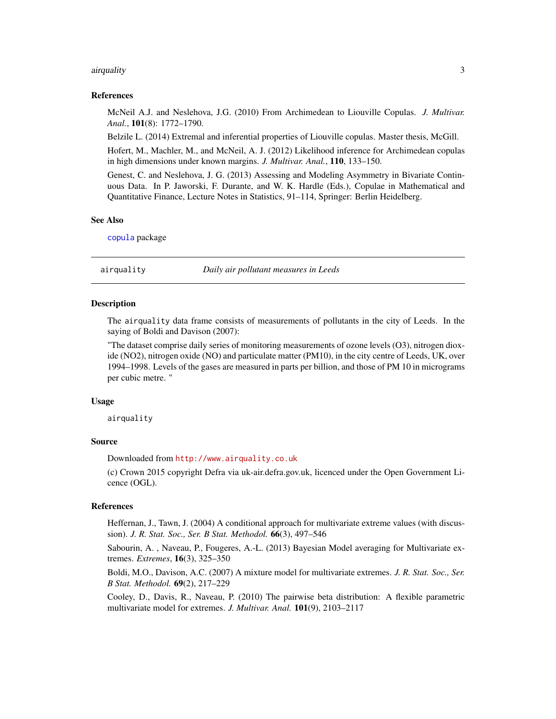#### <span id="page-2-0"></span>airquality 3

#### References

McNeil A.J. and Neslehova, J.G. (2010) From Archimedean to Liouville Copulas. *J. Multivar. Anal.*, 101(8): 1772–1790.

Belzile L. (2014) Extremal and inferential properties of Liouville copulas. Master thesis, McGill.

Hofert, M., Machler, M., and McNeil, A. J. (2012) Likelihood inference for Archimedean copulas in high dimensions under known margins. *J. Multivar. Anal.*, 110, 133–150.

Genest, C. and Neslehova, J. G. (2013) Assessing and Modeling Asymmetry in Bivariate Continuous Data. In P. Jaworski, F. Durante, and W. K. Hardle (Eds.), Copulae in Mathematical and Quantitative Finance, Lecture Notes in Statistics, 91–114, Springer: Berlin Heidelberg.

#### See Also

[copula](#page-0-0) package

airquality *Daily air pollutant measures in Leeds*

#### Description

The airquality data frame consists of measurements of pollutants in the city of Leeds. In the saying of Boldi and Davison (2007):

"The dataset comprise daily series of monitoring measurements of ozone levels (O3), nitrogen dioxide (NO2), nitrogen oxide (NO) and particulate matter (PM10), in the city centre of Leeds, UK, over 1994–1998. Levels of the gases are measured in parts per billion, and those of PM 10 in micrograms per cubic metre. "

#### Usage

airquality

#### Source

Downloaded from <http://www.airquality.co.uk>

(c) Crown 2015 copyright Defra via uk-air.defra.gov.uk, licenced under the Open Government Licence (OGL).

#### References

Heffernan, J., Tawn, J. (2004) A conditional approach for multivariate extreme values (with discussion). *J. R. Stat. Soc., Ser. B Stat. Methodol.* 66(3), 497–546

Sabourin, A. , Naveau, P., Fougeres, A.-L. (2013) Bayesian Model averaging for Multivariate extremes. *Extremes*, 16(3), 325–350

Boldi, M.O., Davison, A.C. (2007) A mixture model for multivariate extremes. *J. R. Stat. Soc., Ser. B Stat. Methodol.* 69(2), 217–229

Cooley, D., Davis, R., Naveau, P. (2010) The pairwise beta distribution: A flexible parametric multivariate model for extremes. *J. Multivar. Anal.* 101(9), 2103–2117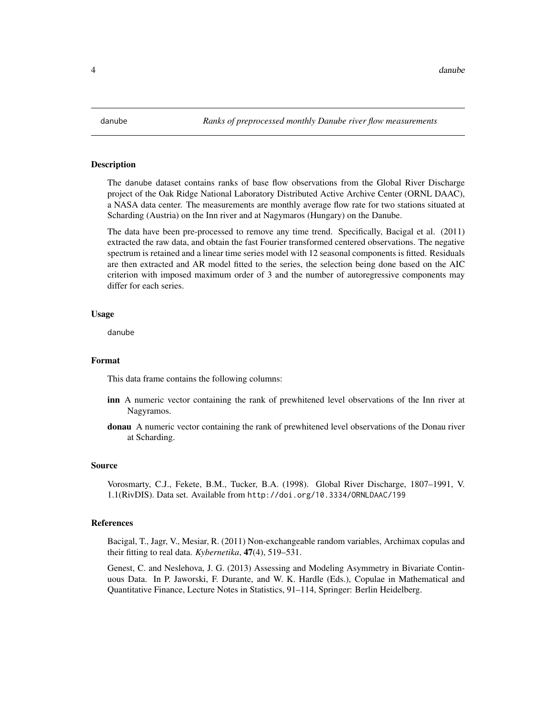<span id="page-3-0"></span>The danube dataset contains ranks of base flow observations from the Global River Discharge project of the Oak Ridge National Laboratory Distributed Active Archive Center (ORNL DAAC), a NASA data center. The measurements are monthly average flow rate for two stations situated at Scharding (Austria) on the Inn river and at Nagymaros (Hungary) on the Danube.

The data have been pre-processed to remove any time trend. Specifically, Bacigal et al. (2011) extracted the raw data, and obtain the fast Fourier transformed centered observations. The negative spectrum is retained and a linear time series model with 12 seasonal components is fitted. Residuals are then extracted and AR model fitted to the series, the selection being done based on the AIC criterion with imposed maximum order of 3 and the number of autoregressive components may differ for each series.

#### Usage

danube

#### Format

This data frame contains the following columns:

- inn A numeric vector containing the rank of prewhitened level observations of the Inn river at Nagyramos.
- donau A numeric vector containing the rank of prewhitened level observations of the Donau river at Scharding.

#### Source

Vorosmarty, C.J., Fekete, B.M., Tucker, B.A. (1998). Global River Discharge, 1807–1991, V. 1.1(RivDIS). Data set. Available from http://doi.org/10.3334/ORNLDAAC/199

#### References

Bacigal, T., Jagr, V., Mesiar, R. (2011) Non-exchangeable random variables, Archimax copulas and their fitting to real data. *Kybernetika*, 47(4), 519–531.

Genest, C. and Neslehova, J. G. (2013) Assessing and Modeling Asymmetry in Bivariate Continuous Data. In P. Jaworski, F. Durante, and W. K. Hardle (Eds.), Copulae in Mathematical and Quantitative Finance, Lecture Notes in Statistics, 91–114, Springer: Berlin Heidelberg.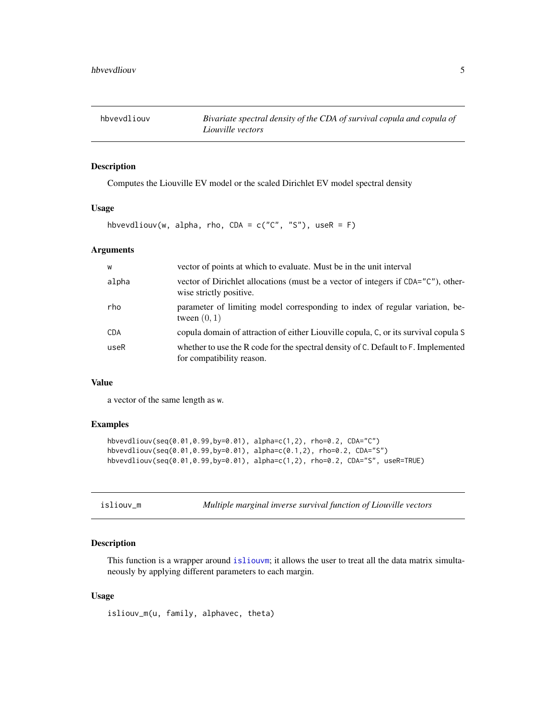<span id="page-4-0"></span>

Computes the Liouville EV model or the scaled Dirichlet EV model spectral density

#### Usage

hbvevdliouv(w, alpha, rho, CDA =  $c("C", "S")$ , useR = F)

#### Arguments

| W          | vector of points at which to evaluate. Must be in the unit interval                                             |
|------------|-----------------------------------------------------------------------------------------------------------------|
| alpha      | vector of Dirichlet allocations (must be a vector of integers if CDA="C"), other-<br>wise strictly positive.    |
| rho        | parameter of limiting model corresponding to index of regular variation, be-<br>tween $(0, 1)$                  |
| <b>CDA</b> | copula domain of attraction of either Liouville copula, C, or its survival copula S                             |
| useR       | whether to use the R code for the spectral density of C. Default to F. Implemented<br>for compatibility reason. |

#### Value

a vector of the same length as w.

#### Examples

```
hbvevdliouv(seq(0.01,0.99,by=0.01), alpha=c(1,2), rho=0.2, CDA="C")
hbvevdliouv(seq(0.01,0.99,by=0.01), alpha=c(0.1,2), rho=0.2, CDA="S")
hbvevdliouv(seq(0.01,0.99,by=0.01), alpha=c(1,2), rho=0.2, CDA="S", useR=TRUE)
```
isliouv\_m *Multiple marginal inverse survival function of Liouville vectors*

#### Description

This function is a wrapper around [isliouvm](#page-10-1); it allows the user to treat all the data matrix simultaneously by applying different parameters to each margin.

#### Usage

isliouv\_m(u, family, alphavec, theta)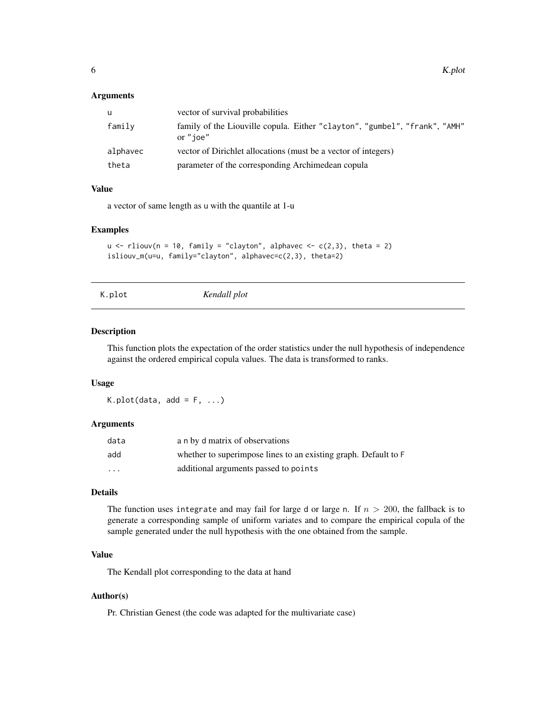<span id="page-5-0"></span>

| u        | vector of survival probabilities                                                       |
|----------|----------------------------------------------------------------------------------------|
| family   | family of the Liouville copula. Either "clayton", "gumbel", "frank", "AMH"<br>or "joe" |
| alphavec | vector of Dirichlet allocations (must be a vector of integers)                         |
| theta    | parameter of the corresponding Archimedean copula                                      |

#### Value

a vector of same length as u with the quantile at 1-u

#### Examples

```
u \le rliouv(n = 10, family = "clayton", alphavec \le c(2,3), theta = 2)
isliouv_m(u=u, family="clayton", alphavec=c(2,3), theta=2)
```
K.plot *Kendall plot*

#### Description

This function plots the expectation of the order statistics under the null hypothesis of independence against the ordered empirical copula values. The data is transformed to ranks.

#### Usage

 $K.plot(data, add = F, ...)$ 

#### Arguments

| data    | a n by d matrix of observations                                 |
|---------|-----------------------------------------------------------------|
| add     | whether to superimpose lines to an existing graph. Default to F |
| $\cdot$ | additional arguments passed to points                           |

#### Details

The function uses integrate and may fail for large d or large n. If  $n > 200$ , the fallback is to generate a corresponding sample of uniform variates and to compare the empirical copula of the sample generated under the null hypothesis with the one obtained from the sample.

#### Value

The Kendall plot corresponding to the data at hand

#### Author(s)

Pr. Christian Genest (the code was adapted for the multivariate case)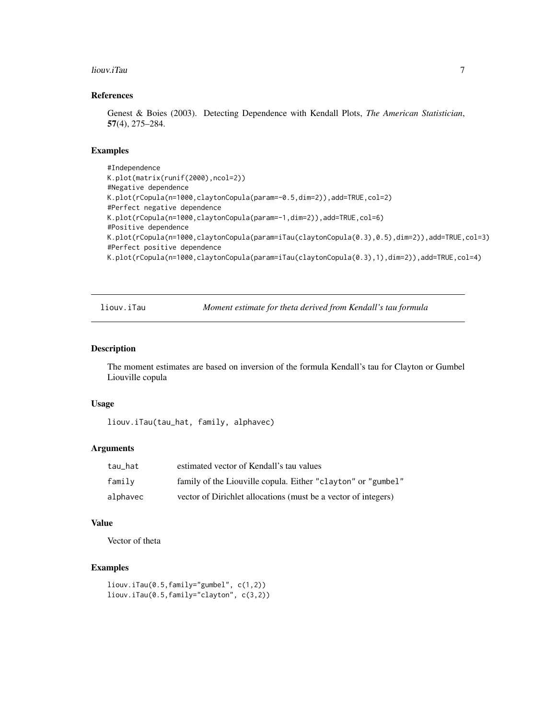#### <span id="page-6-0"></span>liouv.iTau 7

#### References

Genest & Boies (2003). Detecting Dependence with Kendall Plots, *The American Statistician*, 57(4), 275–284.

#### Examples

```
#Independence
K.plot(matrix(runif(2000),ncol=2))
#Negative dependence
K.plot(rCopula(n=1000,claytonCopula(param=-0.5,dim=2)),add=TRUE,col=2)
#Perfect negative dependence
K.plot(rCopula(n=1000,claytonCopula(param=-1,dim=2)),add=TRUE,col=6)
#Positive dependence
K.plot(rCopula(n=1000,claytonCopula(param=iTau(claytonCopula(0.3),0.5),dim=2)),add=TRUE,col=3)
#Perfect positive dependence
K.plot(rCopula(n=1000,claytonCopula(param=iTau(claytonCopula(0.3),1),dim=2)),add=TRUE,col=4)
```
liouv.iTau *Moment estimate for theta derived from Kendall's tau formula*

#### Description

The moment estimates are based on inversion of the formula Kendall's tau for Clayton or Gumbel Liouville copula

#### Usage

liouv.iTau(tau\_hat, family, alphavec)

#### Arguments

| tau hat  | estimated vector of Kendall's tau values                       |  |  |  |  |
|----------|----------------------------------------------------------------|--|--|--|--|
| family   | family of the Liouville copula. Either "clayton" or "gumbel"   |  |  |  |  |
| alphavec | vector of Dirichlet allocations (must be a vector of integers) |  |  |  |  |

#### Value

Vector of theta

```
liouv.iTau(0.5,family="gumbel", c(1,2))
liouv.iTau(0.5,family="clayton", c(3,2))
```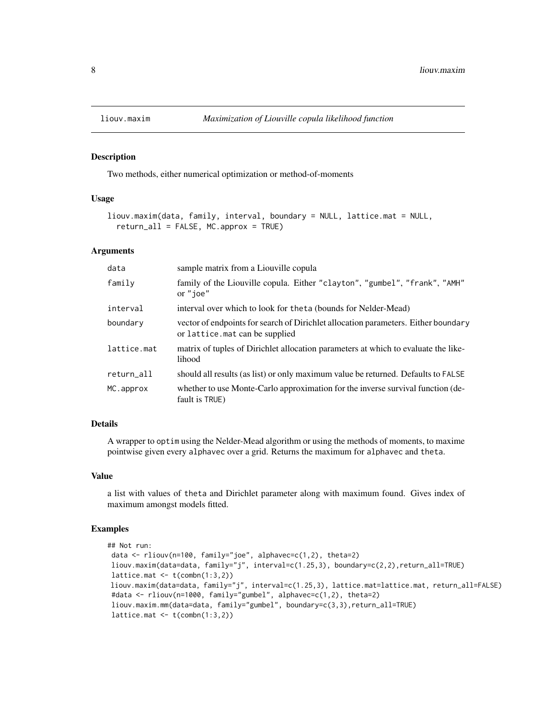<span id="page-7-0"></span>

Two methods, either numerical optimization or method-of-moments

#### Usage

```
liouv.maxim(data, family, interval, boundary = NULL, lattice.mat = NULL,
  return_all = FALSE, MC.approx = TRUE)
```
#### Arguments

| data        | sample matrix from a Liouville copula                                                                                 |  |  |  |
|-------------|-----------------------------------------------------------------------------------------------------------------------|--|--|--|
| family      | family of the Liouville copula. Either "clayton", "gumbel", "frank", "AMH"<br>or "ioe"                                |  |  |  |
| interval    | interval over which to look for theta (bounds for Nelder-Mead)                                                        |  |  |  |
| boundary    | vector of endpoints for search of Dirichlet allocation parameters. Either boundary<br>or lattice. mat can be supplied |  |  |  |
| lattice.mat | matrix of tuples of Dirichlet allocation parameters at which to evaluate the like-<br>lihood                          |  |  |  |
| return_all  | should all results (as list) or only maximum value be returned. Defaults to FALSE                                     |  |  |  |
| MC.approx   | whether to use Monte-Carlo approximation for the inverse survival function (de-<br>fault is TRUE)                     |  |  |  |

#### Details

A wrapper to optim using the Nelder-Mead algorithm or using the methods of moments, to maxime pointwise given every alphavec over a grid. Returns the maximum for alphavec and theta.

#### Value

a list with values of theta and Dirichlet parameter along with maximum found. Gives index of maximum amongst models fitted.

```
## Not run:
data <- rliouv(n=100, family="joe", alphavec=c(1,2), theta=2)
liouv.maxim(data=data, family="j", interval=c(1.25,3), boundary=c(2,2),return_all=TRUE)
lattice.mat \leq t(combn(1:3,2))
liouv.maxim(data=data, family="j", interval=c(1.25,3), lattice.mat=lattice.mat, return_all=FALSE)
#data <- rliouv(n=1000, family="gumbel", alphavec=c(1,2), theta=2)
liouv.maxim.mm(data=data, family="gumbel", boundary=c(3,3),return_all=TRUE)
lattice.mat \leq t(combn(1:3,2))
```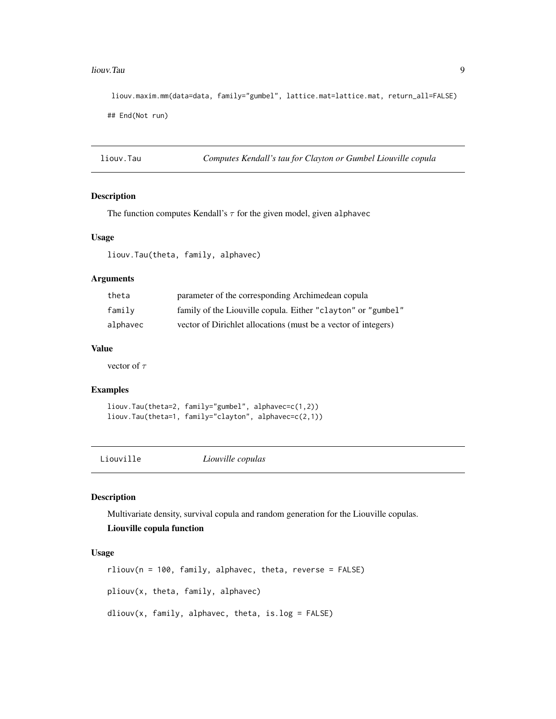#### <span id="page-8-0"></span>liouv.Tau 9

liouv.maxim.mm(data=data, family="gumbel", lattice.mat=lattice.mat, return\_all=FALSE) ## End(Not run)

liouv.Tau *Computes Kendall's tau for Clayton or Gumbel Liouville copula*

#### Description

The function computes Kendall's  $\tau$  for the given model, given alphavec

#### Usage

liouv.Tau(theta, family, alphavec)

#### Arguments

| theta    | parameter of the corresponding Archimedean copula              |  |  |  |
|----------|----------------------------------------------------------------|--|--|--|
| familv   | family of the Liouville copula. Either "clayton" or "gumbel"   |  |  |  |
| alphavec | vector of Dirichlet allocations (must be a vector of integers) |  |  |  |

#### Value

vector of  $\tau$ 

#### Examples

liouv.Tau(theta=2, family="gumbel", alphavec=c(1,2)) liouv.Tau(theta=1, family="clayton", alphavec=c(2,1))

Liouville *Liouville copulas*

#### <span id="page-8-1"></span>Description

Multivariate density, survival copula and random generation for the Liouville copulas.

#### Liouville copula function

#### Usage

rliouv(n = 100, family, alphavec, theta, reverse = FALSE) pliouv(x, theta, family, alphavec)  $dliouv(x, family, alphavec, theta, is.log = FALSE)$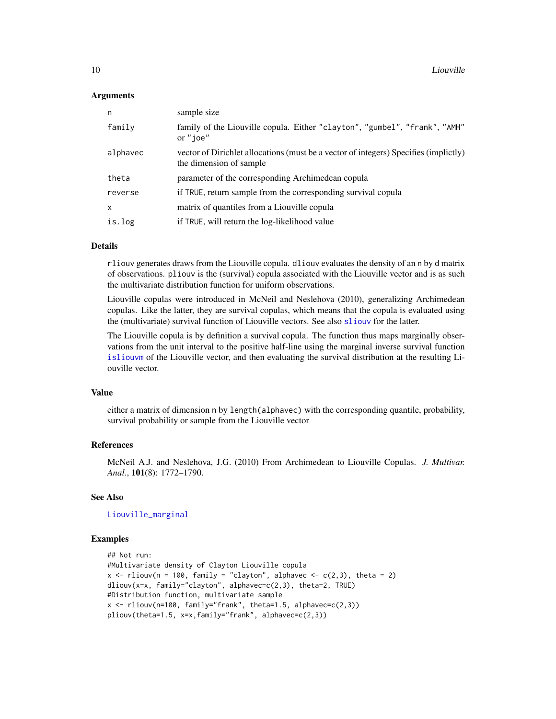<span id="page-9-0"></span>

| n            | sample size                                                                                                     |  |  |  |
|--------------|-----------------------------------------------------------------------------------------------------------------|--|--|--|
| family       | family of the Liouville copula. Either "clayton", "gumbel", "frank", "AMH"<br>or "ioe"                          |  |  |  |
| alphavec     | vector of Dirichlet allocations (must be a vector of integers) Specifies (implictly)<br>the dimension of sample |  |  |  |
| theta        | parameter of the corresponding Archimedean copula                                                               |  |  |  |
| reverse      | if TRUE, return sample from the corresponding survival copula                                                   |  |  |  |
| $\mathsf{x}$ | matrix of quantiles from a Liouville copula                                                                     |  |  |  |
| is.log       | if TRUE, will return the log-likelihood value                                                                   |  |  |  |

#### Details

rliouv generates draws from the Liouville copula. dliouv evaluates the density of an n by d matrix of observations. pliouv is the (survival) copula associated with the Liouville vector and is as such the multivariate distribution function for uniform observations.

Liouville copulas were introduced in McNeil and Neslehova (2010), generalizing Archimedean copulas. Like the latter, they are survival copulas, which means that the copula is evaluated using the (multivariate) survival function of Liouville vectors. See also [sliouv](#page-14-1) for the latter.

The Liouville copula is by definition a survival copula. The function thus maps marginally observations from the unit interval to the positive half-line using the marginal inverse survival function [isliouvm](#page-10-1) of the Liouville vector, and then evaluating the survival distribution at the resulting Liouville vector.

#### Value

either a matrix of dimension n by length(alphavec) with the corresponding quantile, probability, survival probability or sample from the Liouville vector

#### References

McNeil A.J. and Neslehova, J.G. (2010) From Archimedean to Liouville Copulas. *J. Multivar. Anal.*, 101(8): 1772–1790.

#### See Also

[Liouville\\_marginal](#page-10-2)

```
## Not run:
#Multivariate density of Clayton Liouville copula
x \le rliouv(n = 100, family = "clayton", alphavec \le c(2,3), theta = 2)
dliouv(x=x, family="clayton", alphavec=c(2,3), theta=2, TRUE)
#Distribution function, multivariate sample
x \le rliouv(n=100, family="frank", theta=1.5, alphavec=c(2,3))
pliouv(theta=1.5, x=x,family="frank", alphavec=c(2,3))
```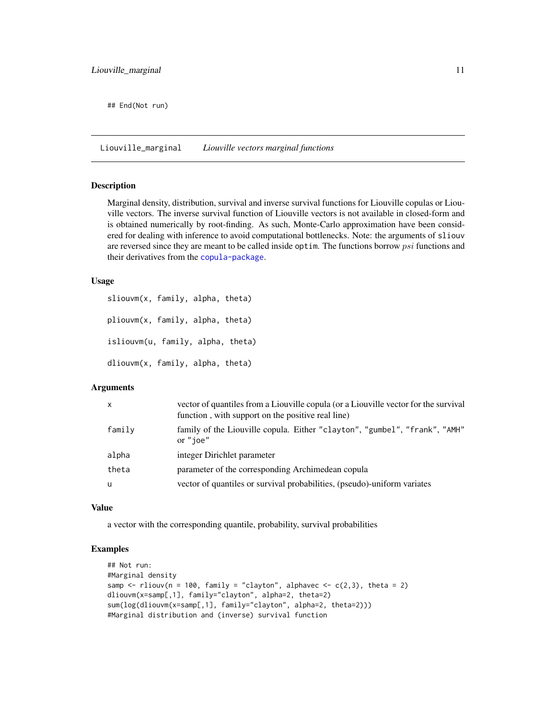<span id="page-10-0"></span>## End(Not run)

<span id="page-10-2"></span>Liouville\_marginal *Liouville vectors marginal functions*

#### <span id="page-10-1"></span>Description

Marginal density, distribution, survival and inverse survival functions for Liouville copulas or Liouville vectors. The inverse survival function of Liouville vectors is not available in closed-form and is obtained numerically by root-finding. As such, Monte-Carlo approximation have been considered for dealing with inference to avoid computational bottlenecks. Note: the arguments of sliouv are reversed since they are meant to be called inside optim. The functions borrow *psi* functions and their derivatives from the [copula-package](#page-0-0).

#### Usage

sliouvm(x, family, alpha, theta) pliouvm(x, family, alpha, theta) isliouvm(u, family, alpha, theta) dliouvm(x, family, alpha, theta)

#### Arguments

| X      | vector of quantiles from a Liouville copula (or a Liouville vector for the survival<br>function, with support on the positive real line) |  |  |  |
|--------|------------------------------------------------------------------------------------------------------------------------------------------|--|--|--|
| family | family of the Liouville copula. Either "clayton", "gumbel", "frank", "AMH"<br>or "ioe"                                                   |  |  |  |
| alpha  | integer Dirichlet parameter                                                                                                              |  |  |  |
| theta  | parameter of the corresponding Archimedean copula                                                                                        |  |  |  |
| u      | vector of quantiles or survival probabilities, (pseudo)-uniform variates                                                                 |  |  |  |

#### Value

a vector with the corresponding quantile, probability, survival probabilities

```
## Not run:
#Marginal density
samp \le rliouv(n = 100, family = "clayton", alphavec \le c(2,3), theta = 2)
dliouvm(x=samp[,1], family="clayton", alpha=2, theta=2)
sum(log(dliouvm(x=samp[,1], family="clayton", alpha=2, theta=2)))
#Marginal distribution and (inverse) survival function
```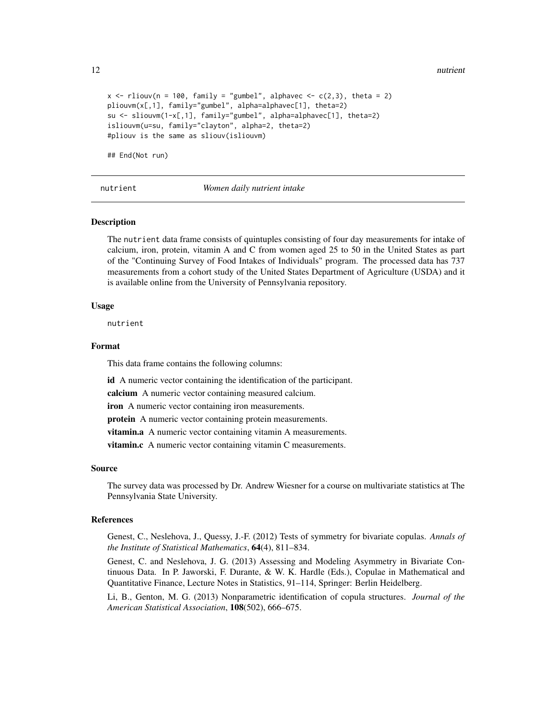<span id="page-11-0"></span>12 nutrient and the contract of the contract of the contract of the contract of the contract of the contract of the contract of the contract of the contract of the contract of the contract of the contract of the contract o

```
x \le rliouv(n = 100, family = "gumbel", alphavec \le c(2,3), theta = 2)
pliouvm(x[,1], family="gumbel", alpha=alphavec[1], theta=2)
su <- sliouvm(1-x[,1], family="gumbel", alpha=alphavec[1], theta=2)
isliouvm(u=su, family="clayton", alpha=2, theta=2)
#pliouv is the same as sliouv(isliouvm)
```
## End(Not run)

nutrient *Women daily nutrient intake*

#### **Description**

The nutrient data frame consists of quintuples consisting of four day measurements for intake of calcium, iron, protein, vitamin A and C from women aged 25 to 50 in the United States as part of the "Continuing Survey of Food Intakes of Individuals" program. The processed data has 737 measurements from a cohort study of the United States Department of Agriculture (USDA) and it is available online from the University of Pennsylvania repository.

#### Usage

nutrient

#### Format

This data frame contains the following columns:

id A numeric vector containing the identification of the participant.

calcium A numeric vector containing measured calcium.

iron A numeric vector containing iron measurements.

protein A numeric vector containing protein measurements.

vitamin.a A numeric vector containing vitamin A measurements.

vitamin.c A numeric vector containing vitamin C measurements.

#### Source

The survey data was processed by Dr. Andrew Wiesner for a course on multivariate statistics at The Pennsylvania State University.

#### References

Genest, C., Neslehova, J., Quessy, J.-F. (2012) Tests of symmetry for bivariate copulas. *Annals of the Institute of Statistical Mathematics*, 64(4), 811–834.

Genest, C. and Neslehova, J. G. (2013) Assessing and Modeling Asymmetry in Bivariate Continuous Data. In P. Jaworski, F. Durante, & W. K. Hardle (Eds.), Copulae in Mathematical and Quantitative Finance, Lecture Notes in Statistics, 91–114, Springer: Berlin Heidelberg.

Li, B., Genton, M. G. (2013) Nonparametric identification of copula structures. *Journal of the American Statistical Association*, 108(502), 666–675.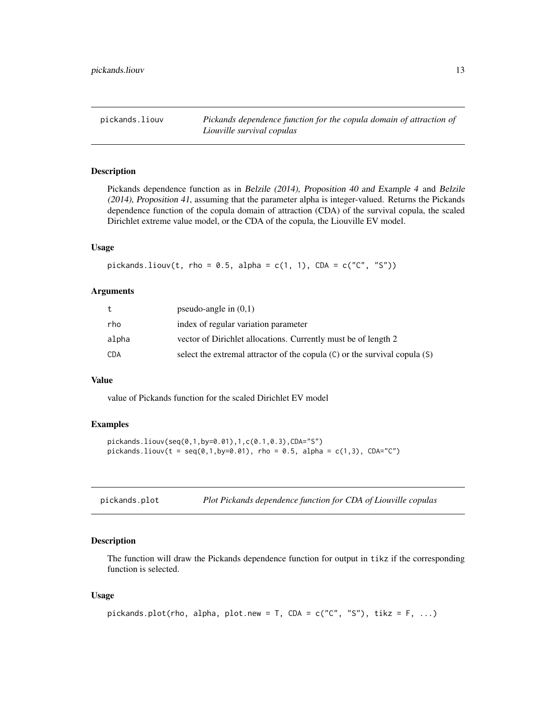<span id="page-12-0"></span>pickands.liouv *Pickands dependence function for the copula domain of attraction of Liouville survival copulas*

#### Description

Pickands dependence function as in Belzile (2014), Proposition 40 and Example 4 and Belzile (2014), Proposition 41, assuming that the parameter alpha is integer-valued. Returns the Pickands dependence function of the copula domain of attraction (CDA) of the survival copula, the scaled Dirichlet extreme value model, or the CDA of the copula, the Liouville EV model.

#### Usage

 $pickandsu = 0.5, alpha = c(1, 1), CDA = c("C", "S"))$ 

#### Arguments

| t     | pseudo-angle in $(0,1)$                                                    |
|-------|----------------------------------------------------------------------------|
| rho   | index of regular variation parameter                                       |
| alpha | vector of Dirichlet allocations. Currently must be of length 2             |
| CDA   | select the extremal attractor of the copula (C) or the survival copula (S) |

#### Value

value of Pickands function for the scaled Dirichlet EV model

#### Examples

```
pickands.liouv(seq(0,1,by=0.01),1,c(0.1,0.3),CDA="S")
pickandsu, \text{liouv}(t = seq(0, 1, by=0.01), \text{rho} = 0.5, \text{alpha} = c(1, 3), \text{CDA} = c'')
```

| pickands.plot |  |  | Plot Pickands dependence function for CDA of Liouville copulas |
|---------------|--|--|----------------------------------------------------------------|
|               |  |  |                                                                |

#### Description

The function will draw the Pickands dependence function for output in tikz if the corresponding function is selected.

#### Usage

```
pickands.plot(rho, alpha, plot.new = T, CDA = c("C", "S"), tikz = F, ...)
```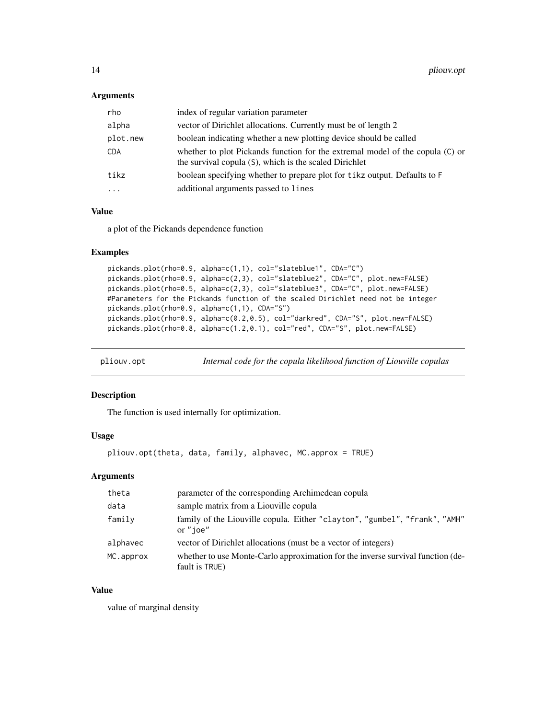<span id="page-13-0"></span>

| rho        | index of regular variation parameter                                                                                                    |
|------------|-----------------------------------------------------------------------------------------------------------------------------------------|
| alpha      | vector of Dirichlet allocations. Currently must be of length 2                                                                          |
| plot.new   | boolean indicating whether a new plotting device should be called                                                                       |
| <b>CDA</b> | whether to plot Pickands function for the extremal model of the copula (C) or<br>the survival copula (S), which is the scaled Dirichlet |
| tikz       | boolean specifying whether to prepare plot for tikz output. Defaults to F                                                               |
|            | additional arguments passed to lines                                                                                                    |

#### Value

a plot of the Pickands dependence function

#### Examples

```
pickands.plot(rho=0.9, alpha=c(1,1), col="slateblue1", CDA="C")
pickands.plot(rho=0.9, alpha=c(2,3), col="slateblue2", CDA="C", plot.new=FALSE)
pickands.plot(rho=0.5, alpha=c(2,3), col="slateblue3", CDA="C", plot.new=FALSE)
#Parameters for the Pickands function of the scaled Dirichlet need not be integer
pickands.plot(rho=0.9, alpha=c(1,1), CDA="S")
pickands.plot(rho=0.9, alpha=c(0.2,0.5), col="darkred", CDA="S", plot.new=FALSE)
pickands.plot(rho=0.8, alpha=c(1.2,0.1), col="red", CDA="S", plot.new=FALSE)
```

| pliouv.opt |  | Internal code for the copula likelihood function of Liouville copulas |  |  |
|------------|--|-----------------------------------------------------------------------|--|--|
|            |  |                                                                       |  |  |

#### Description

The function is used internally for optimization.

#### Usage

```
pliouv.opt(theta, data, family, alphavec, MC.approx = TRUE)
```
#### Arguments

| theta     | parameter of the corresponding Archimedean copula                                                 |
|-----------|---------------------------------------------------------------------------------------------------|
| data      | sample matrix from a Liouville copula                                                             |
| family    | family of the Liouville copula. Either "clayton", "gumbel", "frank", "AMH"<br>or "ioe"            |
| alphavec  | vector of Dirichlet allocations (must be a vector of integers)                                    |
| MC.approx | whether to use Monte-Carlo approximation for the inverse survival function (de-<br>fault is TRUE) |

#### Value

value of marginal density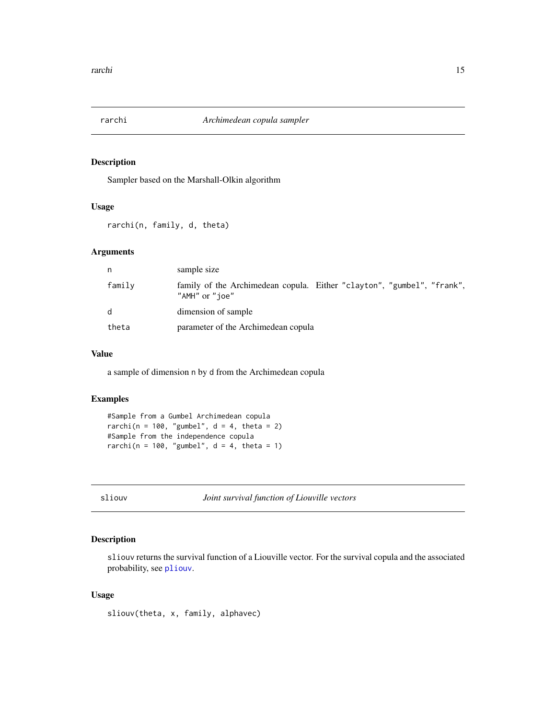<span id="page-14-0"></span>

Sampler based on the Marshall-Olkin algorithm

#### Usage

rarchi(n, family, d, theta)

#### Arguments

| n      | sample size                                                                              |
|--------|------------------------------------------------------------------------------------------|
| family | family of the Archimedean copula. Either "clayton", "gumbel", "frank",<br>"AMH" or "joe" |
| d      | dimension of sample                                                                      |
| theta  | parameter of the Archimedean copula                                                      |

#### Value

a sample of dimension n by d from the Archimedean copula

#### Examples

```
#Sample from a Gumbel Archimedean copula
rarchi(n = 100, "gumbel", d = 4, theta = 2)
#Sample from the independence copula
rarchi(n = 100, "gumbel", d = 4, theta = 1)
```
<span id="page-14-1"></span>sliouv *Joint survival function of Liouville vectors*

#### Description

sliouv returns the survival function of a Liouville vector. For the survival copula and the associated probability, see [pliouv](#page-8-1).

#### Usage

sliouv(theta, x, family, alphavec)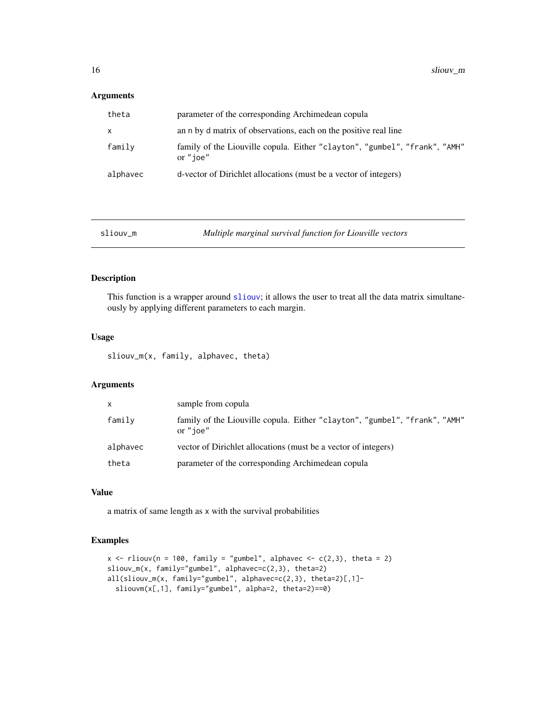<span id="page-15-0"></span>

| theta    | parameter of the corresponding Archimedean copula                                      |
|----------|----------------------------------------------------------------------------------------|
| X.       | an n by d matrix of observations, each on the positive real line                       |
| family   | family of the Liouville copula. Either "clayton", "gumbel", "frank", "AMH"<br>or "ioe" |
| alphavec | d-vector of Dirichlet allocations (must be a vector of integers)                       |

| Multiple marginal survival function for Liouville vectors<br>sliouv m |  |
|-----------------------------------------------------------------------|--|
|-----------------------------------------------------------------------|--|

#### Description

This function is a wrapper around [sliouv](#page-14-1); it allows the user to treat all the data matrix simultaneously by applying different parameters to each margin.

#### Usage

sliouv\_m(x, family, alphavec, theta)

#### Arguments

| X        | sample from copula                                                                     |
|----------|----------------------------------------------------------------------------------------|
| family   | family of the Liouville copula. Either "clayton", "gumbel", "frank", "AMH"<br>or "ioe" |
| alphavec | vector of Dirichlet allocations (must be a vector of integers)                         |
| theta    | parameter of the corresponding Archimedean copula                                      |

#### Value

a matrix of same length as x with the survival probabilities

```
x \le rliouv(n = 100, family = "gumbel", alphavec \le c(2,3), theta = 2)
sliouv_m(x, family="gumbel", alphavec=c(2,3), theta=2)
all(sliouv_m(x, family="gumbel", alphavec=c(2,3), theta=2)[,1]-
  sliouvm(x[,1], family="gumbel", alpha=2, theta=2)==0)
```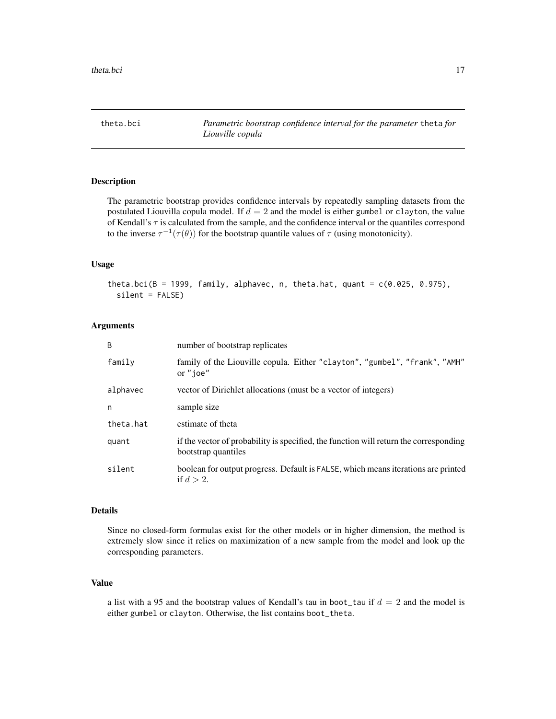<span id="page-16-0"></span>

The parametric bootstrap provides confidence intervals by repeatedly sampling datasets from the postulated Liouvilla copula model. If  $d = 2$  and the model is either gumbel or clayton, the value of Kendall's  $\tau$  is calculated from the sample, and the confidence interval or the quantiles correspond to the inverse  $\tau^{-1}(\tau(\theta))$  for the bootstrap quantile values of  $\tau$  (using monotonicity).

#### Usage

theta.bci(B = 1999, family, alphavec, n, theta.hat, quant =  $c(0.025, 0.975)$ , silent = FALSE)

#### Arguments

| B         | number of bootstrap replicates                                                                               |
|-----------|--------------------------------------------------------------------------------------------------------------|
| family    | family of the Liouville copula. Either "clayton", "gumbel", "frank", "AMH"<br>or "ioe"                       |
| alphavec  | vector of Dirichlet allocations (must be a vector of integers)                                               |
| n         | sample size                                                                                                  |
| theta.hat | estimate of theta                                                                                            |
| quant     | if the vector of probability is specified, the function will return the corresponding<br>bootstrap quantiles |
| silent    | boolean for output progress. Default is FALSE, which means iterations are printed<br>if $d > 2$ .            |

#### Details

Since no closed-form formulas exist for the other models or in higher dimension, the method is extremely slow since it relies on maximization of a new sample from the model and look up the corresponding parameters.

#### Value

a list with a 95 and the bootstrap values of Kendall's tau in boot\_tau if  $d = 2$  and the model is either gumbel or clayton. Otherwise, the list contains boot\_theta.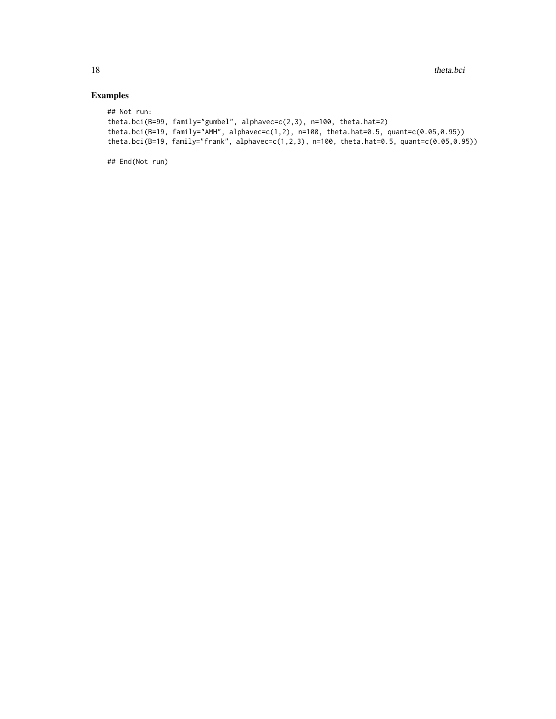### Examples

```
## Not run:
theta.bci(B=99, family="gumbel", alphavec=c(2,3), n=100, theta.hat=2)
theta.bci(B=19, family="AMH", alphavec=c(1,2), n=100, theta.hat=0.5, quant=c(0.05,0.95))
theta.bci(B=19, family="frank", alphavec=c(1,2,3), n=100, theta.hat=0.5, quant=c(0.05,0.95))
```
## End(Not run)